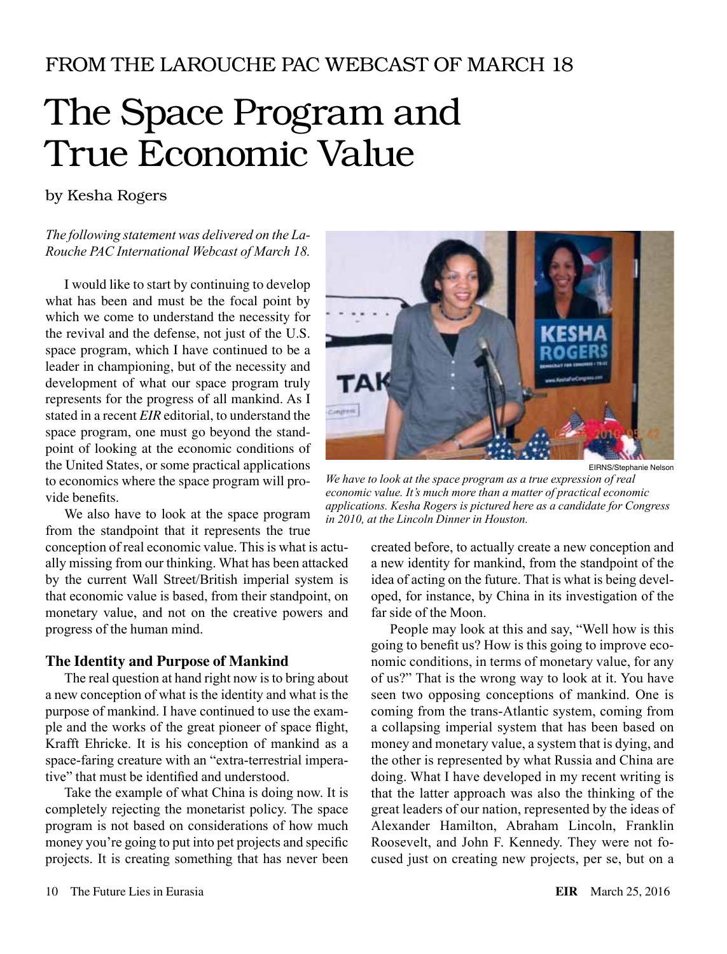# FROM THE LAROUCHE PAC WEBCAST OF MARCH 18

# The Space Program and True Economic Value

by Kesha Rogers

## *The following statement was delivered on the La-Rouche PAC International Webcast of March 18.*

I would like to start by continuing to develop what has been and must be the focal point by which we come to understand the necessity for the revival and the defense, not just of the U.S. space program, which I have continued to be a leader in championing, but of the necessity and development of what our space program truly represents for the progress of all mankind. As I stated in a recent *EIR* editorial, to understand the space program, one must go beyond the standpoint of looking at the economic conditions of the United States, or some practical applications to economics where the space program will provide benefits.

We also have to look at the space program from the standpoint that it represents the true conception of real economic value. This is what is actually missing from our thinking. What has been attacked by the current Wall Street/British imperial system is that economic value is based, from their standpoint, on monetary value, and not on the creative powers and progress of the human mind.

### **The Identity and Purpose of Mankind**

The real question at hand right now is to bring about a new conception of what is the identity and what is the purpose of mankind. I have continued to use the example and the works of the great pioneer of space flight, Krafft Ehricke. It is his conception of mankind as a space-faring creature with an "extra-terrestrial imperative" that must be identified and understood.

Take the example of what China is doing now. It is completely rejecting the monetarist policy. The space program is not based on considerations of how much money you're going to put into pet projects and specific projects. It is creating something that has never been



EIRNS/Stephanie Nelson

*We have to look at the space program as a true expression of real economic value. It's much more than a matter of practical economic applications. Kesha Rogers is pictured here as a candidate for Congress in 2010, at the Lincoln Dinner in Houston.*

> created before, to actually create a new conception and a new identity for mankind, from the standpoint of the idea of acting on the future. That is what is being developed, for instance, by China in its investigation of the far side of the Moon.

> People may look at this and say, "Well how is this going to benefit us? How is this going to improve economic conditions, in terms of monetary value, for any of us?" That is the wrong way to look at it. You have seen two opposing conceptions of mankind. One is coming from the trans-Atlantic system, coming from a collapsing imperial system that has been based on money and monetary value, a system that is dying, and the other is represented by what Russia and China are doing. What I have developed in my recent writing is that the latter approach was also the thinking of the great leaders of our nation, represented by the ideas of Alexander Hamilton, Abraham Lincoln, Franklin Roosevelt, and John F. Kennedy. They were not focused just on creating new projects, per se, but on a